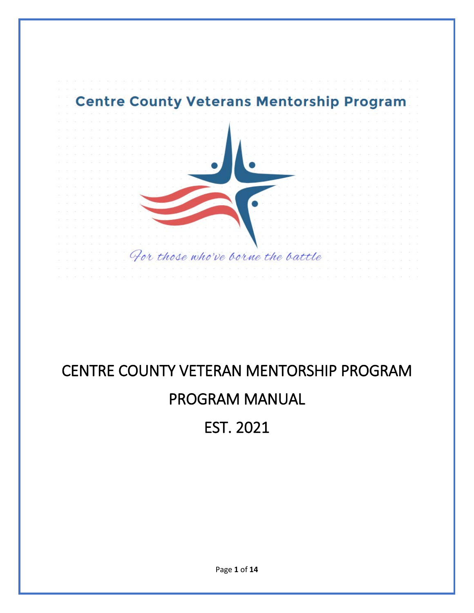

# CENTRE COUNTY VETERAN MENTORSHIP PROGRAM PROGRAM MANUAL

EST. 2021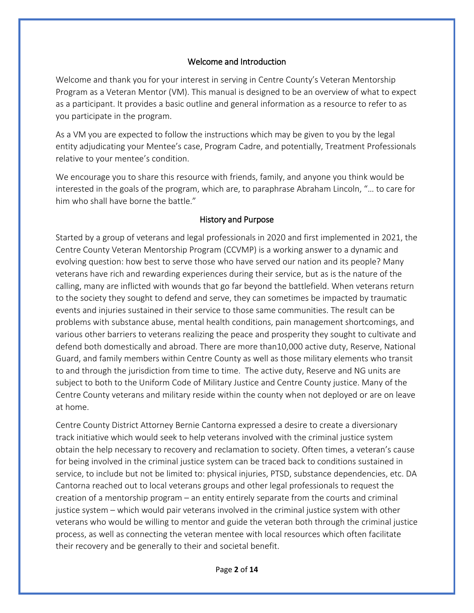#### Welcome and Introduction

Welcome and thank you for your interest in serving in Centre County's Veteran Mentorship Program as a Veteran Mentor (VM). This manual is designed to be an overview of what to expect as a participant. It provides a basic outline and general information as a resource to refer to as you participate in the program.

As a VM you are expected to follow the instructions which may be given to you by the legal entity adjudicating your Mentee's case, Program Cadre, and potentially, Treatment Professionals relative to your mentee's condition.

We encourage you to share this resource with friends, family, and anyone you think would be interested in the goals of the program, which are, to paraphrase Abraham Lincoln, "… to care for him who shall have borne the battle."

#### History and Purpose

Started by a group of veterans and legal professionals in 2020 and first implemented in 2021, the Centre County Veteran Mentorship Program (CCVMP) is a working answer to a dynamic and evolving question: how best to serve those who have served our nation and its people? Many veterans have rich and rewarding experiences during their service, but as is the nature of the calling, many are inflicted with wounds that go far beyond the battlefield. When veterans return to the society they sought to defend and serve, they can sometimes be impacted by traumatic events and injuries sustained in their service to those same communities. The result can be problems with substance abuse, mental health conditions, pain management shortcomings, and various other barriers to veterans realizing the peace and prosperity they sought to cultivate and defend both domestically and abroad. There are more than10,000 active duty, Reserve, National Guard, and family members within Centre County as well as those military elements who transit to and through the jurisdiction from time to time. The active duty, Reserve and NG units are subject to both to the Uniform Code of Military Justice and Centre County justice. Many of the Centre County veterans and military reside within the county when not deployed or are on leave at home.

Centre County District Attorney Bernie Cantorna expressed a desire to create a diversionary track initiative which would seek to help veterans involved with the criminal justice system obtain the help necessary to recovery and reclamation to society. Often times, a veteran's cause for being involved in the criminal justice system can be traced back to conditions sustained in service, to include but not be limited to: physical injuries, PTSD, substance dependencies, etc. DA Cantorna reached out to local veterans groups and other legal professionals to request the creation of a mentorship program – an entity entirely separate from the courts and criminal justice system – which would pair veterans involved in the criminal justice system with other veterans who would be willing to mentor and guide the veteran both through the criminal justice process, as well as connecting the veteran mentee with local resources which often facilitate their recovery and be generally to their and societal benefit.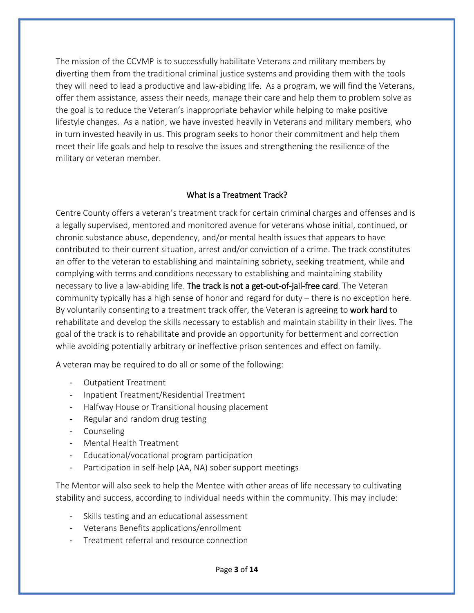The mission of the CCVMP is to successfully habilitate Veterans and military members by diverting them from the traditional criminal justice systems and providing them with the tools they will need to lead a productive and law-abiding life. As a program, we will find the Veterans, offer them assistance, assess their needs, manage their care and help them to problem solve as the goal is to reduce the Veteran's inappropriate behavior while helping to make positive lifestyle changes. As a nation, we have invested heavily in Veterans and military members, who in turn invested heavily in us. This program seeks to honor their commitment and help them meet their life goals and help to resolve the issues and strengthening the resilience of the military or veteran member.

#### What is a Treatment Track?

Centre County offers a veteran's treatment track for certain criminal charges and offenses and is a legally supervised, mentored and monitored avenue for veterans whose initial, continued, or chronic substance abuse, dependency, and/or mental health issues that appears to have contributed to their current situation, arrest and/or conviction of a crime. The track constitutes an offer to the veteran to establishing and maintaining sobriety, seeking treatment, while and complying with terms and conditions necessary to establishing and maintaining stability necessary to live a law-abiding life. The track is not a get-out-of-jail-free card. The Veteran community typically has a high sense of honor and regard for duty – there is no exception here. By voluntarily consenting to a treatment track offer, the Veteran is agreeing to work hard to rehabilitate and develop the skills necessary to establish and maintain stability in their lives. The goal of the track is to rehabilitate and provide an opportunity for betterment and correction while avoiding potentially arbitrary or ineffective prison sentences and effect on family.

A veteran may be required to do all or some of the following:

- Outpatient Treatment
- Inpatient Treatment/Residential Treatment
- Halfway House or Transitional housing placement
- Regular and random drug testing
- Counseling
- Mental Health Treatment
- Educational/vocational program participation
- Participation in self-help (AA, NA) sober support meetings

The Mentor will also seek to help the Mentee with other areas of life necessary to cultivating stability and success, according to individual needs within the community. This may include:

- Skills testing and an educational assessment
- Veterans Benefits applications/enrollment
- Treatment referral and resource connection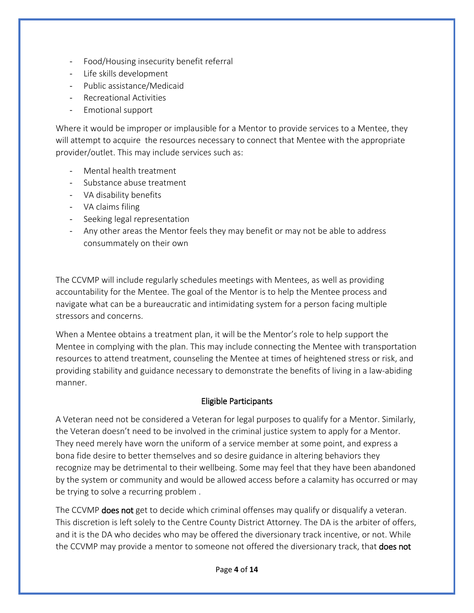- Food/Housing insecurity benefit referral
- Life skills development
- Public assistance/Medicaid
- Recreational Activities
- Emotional support

Where it would be improper or implausible for a Mentor to provide services to a Mentee, they will attempt to acquire the resources necessary to connect that Mentee with the appropriate provider/outlet. This may include services such as:

- Mental health treatment
- Substance abuse treatment
- VA disability benefits
- VA claims filing
- Seeking legal representation
- Any other areas the Mentor feels they may benefit or may not be able to address consummately on their own

The CCVMP will include regularly schedules meetings with Mentees, as well as providing accountability for the Mentee. The goal of the Mentor is to help the Mentee process and navigate what can be a bureaucratic and intimidating system for a person facing multiple stressors and concerns.

When a Mentee obtains a treatment plan, it will be the Mentor's role to help support the Mentee in complying with the plan. This may include connecting the Mentee with transportation resources to attend treatment, counseling the Mentee at times of heightened stress or risk, and providing stability and guidance necessary to demonstrate the benefits of living in a law-abiding manner.

# Eligible Participants

A Veteran need not be considered a Veteran for legal purposes to qualify for a Mentor. Similarly, the Veteran doesn't need to be involved in the criminal justice system to apply for a Mentor. They need merely have worn the uniform of a service member at some point, and express a bona fide desire to better themselves and so desire guidance in altering behaviors they recognize may be detrimental to their wellbeing. Some may feel that they have been abandoned by the system or community and would be allowed access before a calamity has occurred or may be trying to solve a recurring problem .

The CCVMP **does not** get to decide which criminal offenses may qualify or disqualify a veteran. This discretion is left solely to the Centre County District Attorney. The DA is the arbiter of offers, and it is the DA who decides who may be offered the diversionary track incentive, or not. While the CCVMP may provide a mentor to someone not offered the diversionary track, that **does not**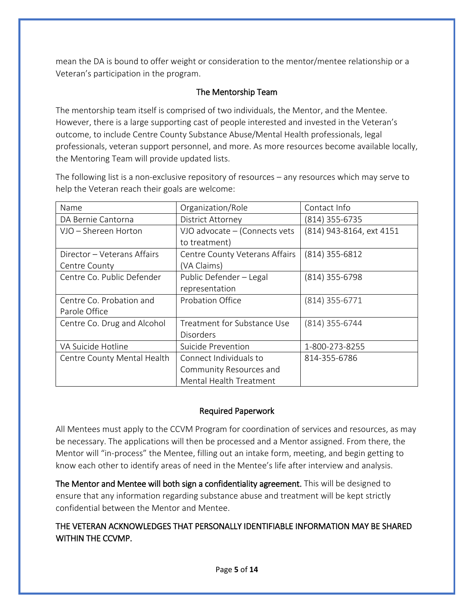mean the DA is bound to offer weight or consideration to the mentor/mentee relationship or a Veteran's participation in the program.

# The Mentorship Team

The mentorship team itself is comprised of two individuals, the Mentor, and the Mentee. However, there is a large supporting cast of people interested and invested in the Veteran's outcome, to include Centre County Substance Abuse/Mental Health professionals, legal professionals, veteran support personnel, and more. As more resources become available locally, the Mentoring Team will provide updated lists.

The following list is a non-exclusive repository of resources – any resources which may serve to help the Veteran reach their goals are welcome:

| Name                        | Organization/Role              | Contact Info             |
|-----------------------------|--------------------------------|--------------------------|
| DA Bernie Cantorna          | District Attorney              | (814) 355-6735           |
| VJO - Shereen Horton        | VJO advocate - (Connects vets  | (814) 943-8164, ext 4151 |
|                             | to treatment)                  |                          |
| Director – Veterans Affairs | Centre County Veterans Affairs | (814) 355-6812           |
| Centre County               | (VA Claims)                    |                          |
| Centre Co. Public Defender  | Public Defender - Legal        | $(814)$ 355-6798         |
|                             | representation                 |                          |
| Centre Co. Probation and    | Probation Office               | $(814)$ 355-6771         |
| Parole Office               |                                |                          |
| Centre Co. Drug and Alcohol | Treatment for Substance Use    | $(814)$ 355-6744         |
|                             | <b>Disorders</b>               |                          |
| VA Suicide Hotline          | Suicide Prevention             | 1-800-273-8255           |
| Centre County Mental Health | Connect Individuals to         | 814-355-6786             |
|                             | Community Resources and        |                          |
|                             | Mental Health Treatment        |                          |

# Required Paperwork

All Mentees must apply to the CCVM Program for coordination of services and resources, as may be necessary. The applications will then be processed and a Mentor assigned. From there, the Mentor will "in-process" the Mentee, filling out an intake form, meeting, and begin getting to know each other to identify areas of need in the Mentee's life after interview and analysis.

The Mentor and Mentee will both sign a confidentiality agreement. This will be designed to ensure that any information regarding substance abuse and treatment will be kept strictly confidential between the Mentor and Mentee.

# THE VETERAN ACKNOWLEDGES THAT PERSONALLY IDENTIFIABLE INFORMATION MAY BE SHARED WITHIN THE CCVMP.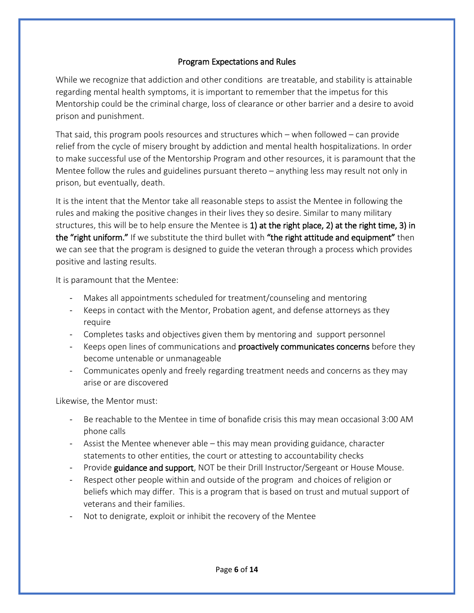#### Program Expectations and Rules

While we recognize that addiction and other conditions are treatable, and stability is attainable regarding mental health symptoms, it is important to remember that the impetus for this Mentorship could be the criminal charge, loss of clearance or other barrier and a desire to avoid prison and punishment.

That said, this program pools resources and structures which – when followed – can provide relief from the cycle of misery brought by addiction and mental health hospitalizations. In order to make successful use of the Mentorship Program and other resources, it is paramount that the Mentee follow the rules and guidelines pursuant thereto – anything less may result not only in prison, but eventually, death.

It is the intent that the Mentor take all reasonable steps to assist the Mentee in following the rules and making the positive changes in their lives they so desire. Similar to many military structures, this will be to help ensure the Mentee is 1) at the right place, 2) at the right time, 3) in the "right uniform." If we substitute the third bullet with "the right attitude and equipment" then we can see that the program is designed to guide the veteran through a process which provides positive and lasting results.

It is paramount that the Mentee:

- Makes all appointments scheduled for treatment/counseling and mentoring
- Keeps in contact with the Mentor, Probation agent, and defense attorneys as they require
- Completes tasks and objectives given them by mentoring and support personnel
- Keeps open lines of communications and **proactively communicates concerns** before they become untenable or unmanageable
- Communicates openly and freely regarding treatment needs and concerns as they may arise or are discovered

Likewise, the Mentor must:

- Be reachable to the Mentee in time of bonafide crisis this may mean occasional 3:00 AM phone calls
- Assist the Mentee whenever able this may mean providing guidance, character statements to other entities, the court or attesting to accountability checks
- Provide guidance and support, NOT be their Drill Instructor/Sergeant or House Mouse.
- Respect other people within and outside of the program and choices of religion or beliefs which may differ. This is a program that is based on trust and mutual support of veterans and their families.
- Not to denigrate, exploit or inhibit the recovery of the Mentee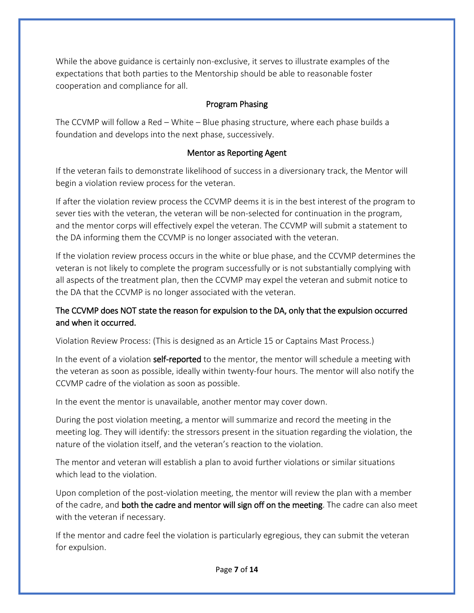While the above guidance is certainly non-exclusive, it serves to illustrate examples of the expectations that both parties to the Mentorship should be able to reasonable foster cooperation and compliance for all.

#### Program Phasing

The CCVMP will follow a Red – White – Blue phasing structure, where each phase builds a foundation and develops into the next phase, successively.

#### Mentor as Reporting Agent

If the veteran fails to demonstrate likelihood of success in a diversionary track, the Mentor will begin a violation review process for the veteran.

If after the violation review process the CCVMP deems it is in the best interest of the program to sever ties with the veteran, the veteran will be non-selected for continuation in the program, and the mentor corps will effectively expel the veteran. The CCVMP will submit a statement to the DA informing them the CCVMP is no longer associated with the veteran.

If the violation review process occurs in the white or blue phase, and the CCVMP determines the veteran is not likely to complete the program successfully or is not substantially complying with all aspects of the treatment plan, then the CCVMP may expel the veteran and submit notice to the DA that the CCVMP is no longer associated with the veteran.

# The CCVMP does NOT state the reason for expulsion to the DA, only that the expulsion occurred and when it occurred.

Violation Review Process: (This is designed as an Article 15 or Captains Mast Process.)

In the event of a violation **self-reported** to the mentor, the mentor will schedule a meeting with the veteran as soon as possible, ideally within twenty-four hours. The mentor will also notify the CCVMP cadre of the violation as soon as possible.

In the event the mentor is unavailable, another mentor may cover down.

During the post violation meeting, a mentor will summarize and record the meeting in the meeting log. They will identify: the stressors present in the situation regarding the violation, the nature of the violation itself, and the veteran's reaction to the violation.

The mentor and veteran will establish a plan to avoid further violations or similar situations which lead to the violation.

Upon completion of the post-violation meeting, the mentor will review the plan with a member of the cadre, and both the cadre and mentor will sign off on the meeting. The cadre can also meet with the veteran if necessary.

If the mentor and cadre feel the violation is particularly egregious, they can submit the veteran for expulsion.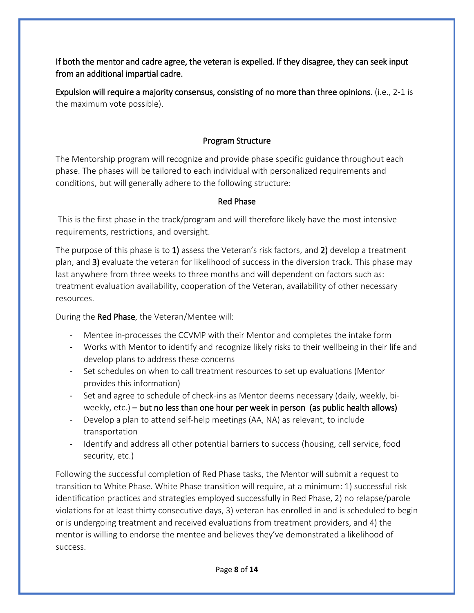If both the mentor and cadre agree, the veteran is expelled. If they disagree, they can seek input from an additional impartial cadre.

Expulsion will require a majority consensus, consisting of no more than three opinions. (i.e., 2-1 is the maximum vote possible).

# Program Structure

The Mentorship program will recognize and provide phase specific guidance throughout each phase. The phases will be tailored to each individual with personalized requirements and conditions, but will generally adhere to the following structure:

# Red Phase

This is the first phase in the track/program and will therefore likely have the most intensive requirements, restrictions, and oversight.

The purpose of this phase is to 1) assess the Veteran's risk factors, and 2) develop a treatment plan, and 3) evaluate the veteran for likelihood of success in the diversion track. This phase may last anywhere from three weeks to three months and will dependent on factors such as: treatment evaluation availability, cooperation of the Veteran, availability of other necessary resources.

During the Red Phase, the Veteran/Mentee will:

- Mentee in-processes the CCVMP with their Mentor and completes the intake form
- Works with Mentor to identify and recognize likely risks to their wellbeing in their life and develop plans to address these concerns
- Set schedules on when to call treatment resources to set up evaluations (Mentor provides this information)
- Set and agree to schedule of check-ins as Mentor deems necessary (daily, weekly, biweekly, etc.) – but no less than one hour per week in person (as public health allows)
- Develop a plan to attend self-help meetings (AA, NA) as relevant, to include transportation
- Identify and address all other potential barriers to success (housing, cell service, food security, etc.)

Following the successful completion of Red Phase tasks, the Mentor will submit a request to transition to White Phase. White Phase transition will require, at a minimum: 1) successful risk identification practices and strategies employed successfully in Red Phase, 2) no relapse/parole violations for at least thirty consecutive days, 3) veteran has enrolled in and is scheduled to begin or is undergoing treatment and received evaluations from treatment providers, and 4) the mentor is willing to endorse the mentee and believes they've demonstrated a likelihood of success.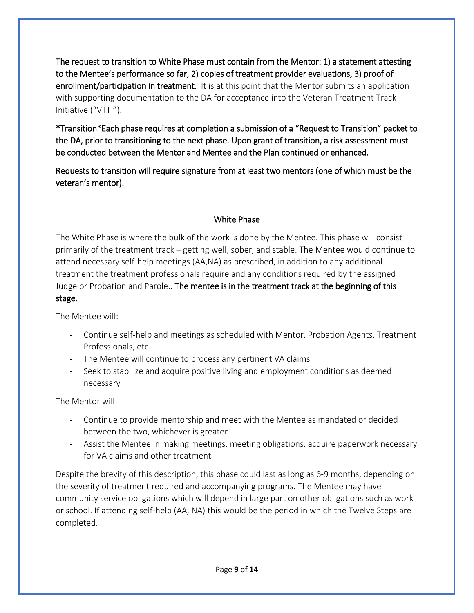The request to transition to White Phase must contain from the Mentor: 1) a statement attesting to the Mentee's performance so far, 2) copies of treatment provider evaluations, 3) proof of enrollment/participation in treatment. It is at this point that the Mentor submits an application with supporting documentation to the DA for acceptance into the Veteran Treatment Track Initiative ("VTTI").

\*Transition\*Each phase requires at completion a submission of a "Request to Transition" packet to the DA, prior to transitioning to the next phase. Upon grant of transition, a risk assessment must be conducted between the Mentor and Mentee and the Plan continued or enhanced.

Requests to transition will require signature from at least two mentors (one of which must be the veteran's mentor).

# White Phase

The White Phase is where the bulk of the work is done by the Mentee. This phase will consist primarily of the treatment track – getting well, sober, and stable. The Mentee would continue to attend necessary self-help meetings (AA,NA) as prescribed, in addition to any additional treatment the treatment professionals require and any conditions required by the assigned Judge or Probation and Parole.. The mentee is in the treatment track at the beginning of this stage.

The Mentee will:

- Continue self-help and meetings as scheduled with Mentor, Probation Agents, Treatment Professionals, etc.
- The Mentee will continue to process any pertinent VA claims
- Seek to stabilize and acquire positive living and employment conditions as deemed necessary

The Mentor will:

- Continue to provide mentorship and meet with the Mentee as mandated or decided between the two, whichever is greater
- Assist the Mentee in making meetings, meeting obligations, acquire paperwork necessary for VA claims and other treatment

Despite the brevity of this description, this phase could last as long as 6-9 months, depending on the severity of treatment required and accompanying programs. The Mentee may have community service obligations which will depend in large part on other obligations such as work or school. If attending self-help (AA, NA) this would be the period in which the Twelve Steps are completed.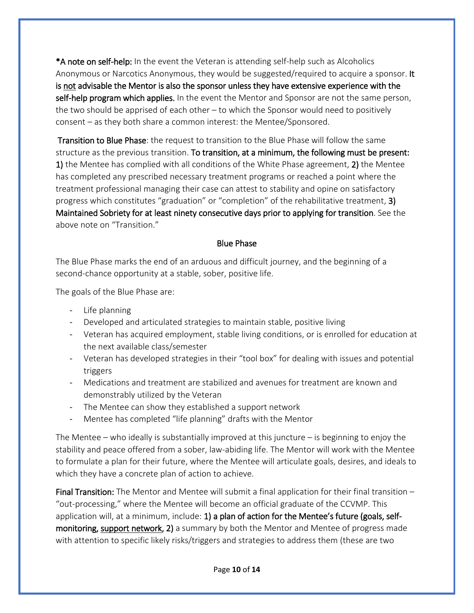\*A note on self-help: In the event the Veteran is attending self-help such as Alcoholics Anonymous or Narcotics Anonymous, they would be suggested/required to acquire a sponsor. It is not advisable the Mentor is also the sponsor unless they have extensive experience with the self-help program which applies. In the event the Mentor and Sponsor are not the same person, the two should be apprised of each other – to which the Sponsor would need to positively consent – as they both share a common interest: the Mentee/Sponsored.

Transition to Blue Phase: the request to transition to the Blue Phase will follow the same structure as the previous transition. To transition, at a minimum, the following must be present: 1) the Mentee has complied with all conditions of the White Phase agreement, 2) the Mentee has completed any prescribed necessary treatment programs or reached a point where the treatment professional managing their case can attest to stability and opine on satisfactory progress which constitutes "graduation" or "completion" of the rehabilitative treatment, 3) Maintained Sobriety for at least ninety consecutive days prior to applying for transition. See the above note on "Transition."

#### Blue Phase

The Blue Phase marks the end of an arduous and difficult journey, and the beginning of a second-chance opportunity at a stable, sober, positive life.

The goals of the Blue Phase are:

- Life planning
- Developed and articulated strategies to maintain stable, positive living
- Veteran has acquired employment, stable living conditions, or is enrolled for education at the next available class/semester
- Veteran has developed strategies in their "tool box" for dealing with issues and potential triggers
- Medications and treatment are stabilized and avenues for treatment are known and demonstrably utilized by the Veteran
- The Mentee can show they established a support network
- Mentee has completed "life planning" drafts with the Mentor

The Mentee – who ideally is substantially improved at this juncture – is beginning to enjoy the stability and peace offered from a sober, law-abiding life. The Mentor will work with the Mentee to formulate a plan for their future, where the Mentee will articulate goals, desires, and ideals to which they have a concrete plan of action to achieve.

Final Transition: The Mentor and Mentee will submit a final application for their final transition – "out-processing," where the Mentee will become an official graduate of the CCVMP. This application will, at a minimum, include: 1) a plan of action for the Mentee's future (goals, selfmonitoring, support network, 2) a summary by both the Mentor and Mentee of progress made with attention to specific likely risks/triggers and strategies to address them (these are two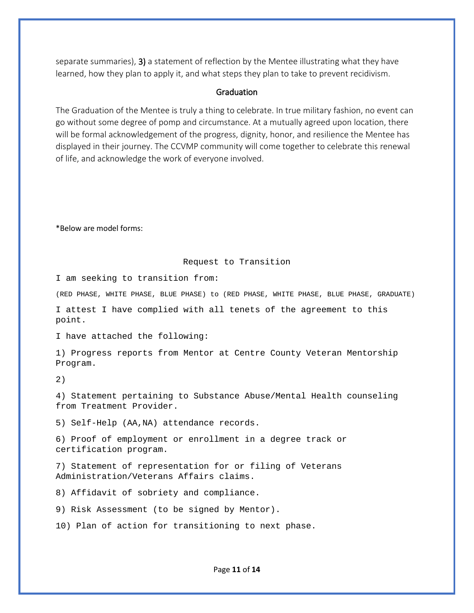separate summaries), 3) a statement of reflection by the Mentee illustrating what they have learned, how they plan to apply it, and what steps they plan to take to prevent recidivism.

#### **Graduation**

The Graduation of the Mentee is truly a thing to celebrate. In true military fashion, no event can go without some degree of pomp and circumstance. At a mutually agreed upon location, there will be formal acknowledgement of the progress, dignity, honor, and resilience the Mentee has displayed in their journey. The CCVMP community will come together to celebrate this renewal of life, and acknowledge the work of everyone involved.

\*Below are model forms:

#### Request to Transition

I am seeking to transition from:

(RED PHASE, WHITE PHASE, BLUE PHASE) to (RED PHASE, WHITE PHASE, BLUE PHASE, GRADUATE)

I attest I have complied with all tenets of the agreement to this point.

I have attached the following:

1) Progress reports from Mentor at Centre County Veteran Mentorship Program.

2)

4) Statement pertaining to Substance Abuse/Mental Health counseling from Treatment Provider.

5) Self-Help (AA,NA) attendance records.

6) Proof of employment or enrollment in a degree track or certification program.

7) Statement of representation for or filing of Veterans Administration/Veterans Affairs claims.

8) Affidavit of sobriety and compliance.

9) Risk Assessment (to be signed by Mentor).

10) Plan of action for transitioning to next phase.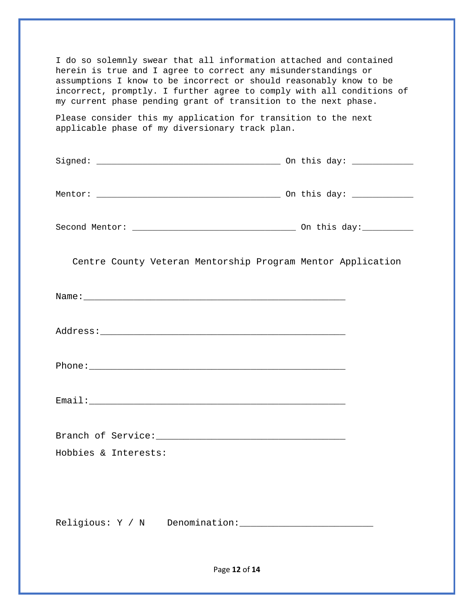| I do so solemnly swear that all information attached and contained<br>herein is true and I agree to correct any misunderstandings or<br>assumptions I know to be incorrect or should reasonably know to be<br>incorrect, promptly. I further agree to comply with all conditions of<br>my current phase pending grant of transition to the next phase. |  |  |
|--------------------------------------------------------------------------------------------------------------------------------------------------------------------------------------------------------------------------------------------------------------------------------------------------------------------------------------------------------|--|--|
| Please consider this my application for transition to the next<br>applicable phase of my diversionary track plan.                                                                                                                                                                                                                                      |  |  |
|                                                                                                                                                                                                                                                                                                                                                        |  |  |
|                                                                                                                                                                                                                                                                                                                                                        |  |  |
|                                                                                                                                                                                                                                                                                                                                                        |  |  |
| Centre County Veteran Mentorship Program Mentor Application                                                                                                                                                                                                                                                                                            |  |  |
|                                                                                                                                                                                                                                                                                                                                                        |  |  |
|                                                                                                                                                                                                                                                                                                                                                        |  |  |
|                                                                                                                                                                                                                                                                                                                                                        |  |  |
|                                                                                                                                                                                                                                                                                                                                                        |  |  |
|                                                                                                                                                                                                                                                                                                                                                        |  |  |
| Hobbies & Interests:                                                                                                                                                                                                                                                                                                                                   |  |  |
|                                                                                                                                                                                                                                                                                                                                                        |  |  |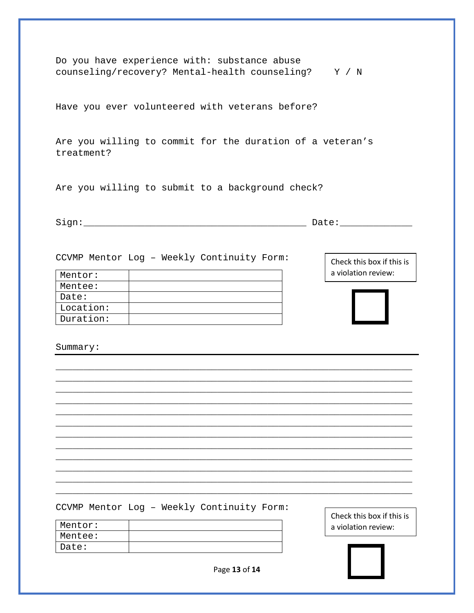| Do you have experience with: substance abuse<br>counseling/recovery? Mental-health counseling? Y / N            |                                                  |
|-----------------------------------------------------------------------------------------------------------------|--------------------------------------------------|
| Have you ever volunteered with veterans before?                                                                 |                                                  |
| Are you willing to commit for the duration of a veteran's<br>treatment?                                         |                                                  |
| Are you willing to submit to a background check?                                                                |                                                  |
|                                                                                                                 |                                                  |
| CCVMP Mentor Log - Weekly Continuity Form:<br>Mentor:<br>Mentee:<br>Date:<br>Location:<br>Duration:<br>Summary: | Check this box if this is<br>a violation review: |
| CCVMP Mentor Log - Weekly Continuity Form:<br>Mentor:                                                           | Check this box if this is<br>a violation review: |
| Mentee:                                                                                                         |                                                  |
| Date:                                                                                                           |                                                  |
| Page 13 of 14                                                                                                   |                                                  |